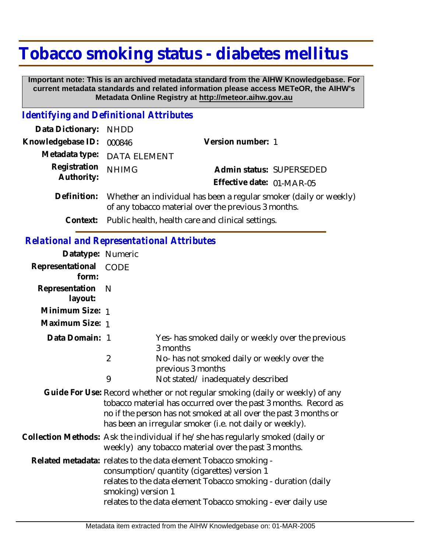## **Tobacco smoking status - diabetes mellitus**

 **Important note: This is an archived metadata standard from the AIHW Knowledgebase. For current metadata standards and related information please access METeOR, the AIHW's Metadata Online Registry at http://meteor.aihw.gov.au**

## *Identifying and Definitional Attributes*

| Data Dictionary:                                  | <b>NHDD</b>                                                                                                                                                                                                                                                                      |                                                                  |
|---------------------------------------------------|----------------------------------------------------------------------------------------------------------------------------------------------------------------------------------------------------------------------------------------------------------------------------------|------------------------------------------------------------------|
| Knowledgebase ID:                                 | 000846                                                                                                                                                                                                                                                                           | Version number: 1                                                |
| Metadata type:                                    | <b>DATA ELEMENT</b>                                                                                                                                                                                                                                                              |                                                                  |
| Registration<br>Authority:                        | <b>NHIMG</b>                                                                                                                                                                                                                                                                     | Admin status: SUPERSEDED<br>Effective date: 01-MAR-05            |
| Definition:                                       | Whether an individual has been a regular smoker (daily or weekly)<br>of any tobacco material over the previous 3 months.                                                                                                                                                         |                                                                  |
| Context:                                          |                                                                                                                                                                                                                                                                                  | Public health, health care and clinical settings.                |
| <b>Relational and Representational Attributes</b> |                                                                                                                                                                                                                                                                                  |                                                                  |
| Datatype: Numeric                                 |                                                                                                                                                                                                                                                                                  |                                                                  |
| Representational<br>form:                         | CODE                                                                                                                                                                                                                                                                             |                                                                  |
| Representation<br>layout:                         | N                                                                                                                                                                                                                                                                                |                                                                  |
| Minimum Size: 1                                   |                                                                                                                                                                                                                                                                                  |                                                                  |
| Maximum Size: 1                                   |                                                                                                                                                                                                                                                                                  |                                                                  |
| Data Domain: 1                                    |                                                                                                                                                                                                                                                                                  | Yes- has smoked daily or weekly over the previous<br>3 months    |
|                                                   | $\overline{2}$                                                                                                                                                                                                                                                                   | No- has not smoked daily or weekly over the<br>previous 3 months |
|                                                   | 9                                                                                                                                                                                                                                                                                | Not stated/inadequately described                                |
|                                                   | Guide For Use: Record whether or not regular smoking (daily or weekly) of any<br>tobacco material has occurred over the past 3 months. Record as<br>no if the person has not smoked at all over the past 3 months or<br>has been an irregular smoker (i.e. not daily or weekly). |                                                                  |
|                                                   | Collection Methods: Ask the individual if he/she has regularly smoked (daily or<br>weekly) any tobacco material over the past 3 months.                                                                                                                                          |                                                                  |
|                                                   | Related metadata: relates to the data element Tobacco smoking -<br>consumption/quantity (cigarettes) version 1<br>relates to the data element Tobacco smoking - duration (daily<br>smoking) version 1<br>relates to the data element Tobacco smoking - ever daily use            |                                                                  |